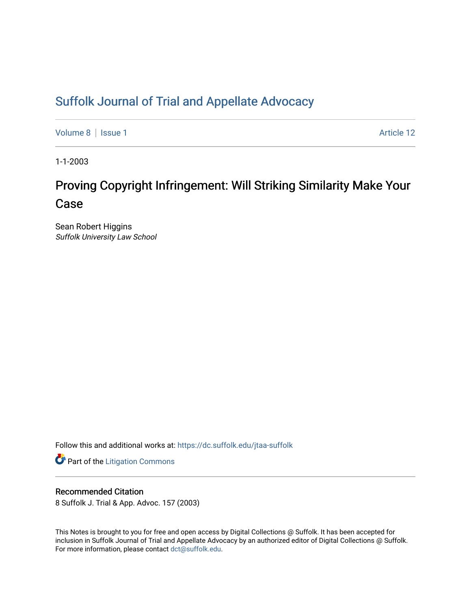# [Suffolk Journal of Trial and Appellate Advocacy](https://dc.suffolk.edu/jtaa-suffolk)

[Volume 8](https://dc.suffolk.edu/jtaa-suffolk/vol8) | [Issue 1](https://dc.suffolk.edu/jtaa-suffolk/vol8/iss1) Article 12

1-1-2003

# Proving Copyright Infringement: Will Striking Similarity Make Your Case

Sean Robert Higgins Suffolk University Law School

Follow this and additional works at: [https://dc.suffolk.edu/jtaa-suffolk](https://dc.suffolk.edu/jtaa-suffolk?utm_source=dc.suffolk.edu%2Fjtaa-suffolk%2Fvol8%2Fiss1%2F12&utm_medium=PDF&utm_campaign=PDFCoverPages) 

**Part of the [Litigation Commons](https://network.bepress.com/hgg/discipline/910?utm_source=dc.suffolk.edu%2Fjtaa-suffolk%2Fvol8%2Fiss1%2F12&utm_medium=PDF&utm_campaign=PDFCoverPages)** 

# Recommended Citation

8 Suffolk J. Trial & App. Advoc. 157 (2003)

This Notes is brought to you for free and open access by Digital Collections @ Suffolk. It has been accepted for inclusion in Suffolk Journal of Trial and Appellate Advocacy by an authorized editor of Digital Collections @ Suffolk. For more information, please contact [dct@suffolk.edu](mailto:dct@suffolk.edu).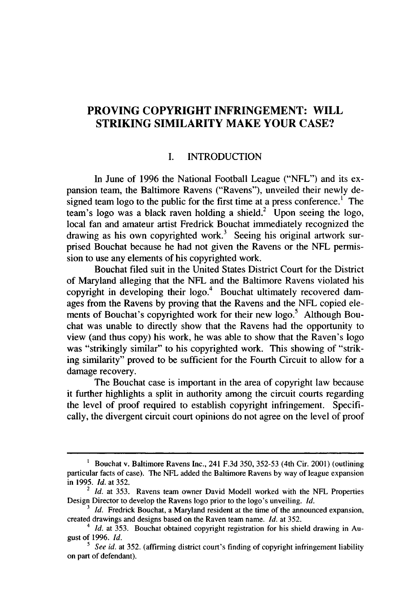# **PROVING COPYRIGHT INFRINGEMENT: WILL STRIKING SIMILARITY MAKE YOUR CASE?**

#### **I.** INTRODUCTION

In June of **1996** the National Football League **("NFL")** and its expansion team, the Baltimore Ravens ("Ravens"), unveiled their newly designed team logo to the public for the first time at a press conference.<sup>1</sup> The team's logo was a black raven holding a shield.<sup>2</sup> Upon seeing the logo, local fan and amateur artist Fredrick Bouchat immediately recognized the drawing as his own copyrighted work.<sup>3</sup> Seeing his original artwork surprised Bouchat because he had not given the Ravens or the **NFL** permission to use any elements of his copyrighted work.

Bouchat filed suit in the United States District Court for the District of Maryland alleging that the **NFL** and the Baltimore Ravens violated his copyright in developing their logo.<sup>4</sup> Bouchat ultimately recovered damages from the Ravens **by** proving that the Ravens and the **NFL** copied elements of Bouchat's copyrighted work for their new logo.<sup>5</sup> Although Bouchat was unable to directly show that the Ravens had the opportunity to view (and thus copy) his work, he was able to show that the Raven's logo was "strikingly similar" to his copyrighted work. This showing of "striking similarity" proved to be sufficient for the Fourth Circuit to allow for a damage recovery.

The Bouchat case is important in the area of copyright law because it further highlights a split in authority among the circuit courts regarding the level of proof required to establish copyright infringement. Specifically, the divergent circuit court opinions do not agree on the level of proof

**<sup>1</sup>** Bouchat v. Baltimore Ravens Inc., 241 **F.3d 350, 352-53** (4th Cir. 2001) (outlining particular facts of case). The **NFL** added the Baltimore Ravens **by** way of league expansion in **1995.** *Id.* at **352.**

<sup>2</sup> *Id.* at **353.** Ravens team owner David Modell worked with the **NFL** Properties Design Director to develop the Ravens logo prior to the logo's unveiling. *Id.*

<sup>&</sup>lt;sup>3</sup> *Id.* Fredrick Bouchat, a Maryland resident at the time of the announced expansion, created drawings and designs based on the Raven team name. *Id.* at **352.**

*<sup>4</sup> Id.* at **353.** Bouchat obtained copyright registration for his shield drawing in August of **1996.** *Id.*

*<sup>5</sup> See id.* at **352.** (affirming district court's finding of copyright infringement liability on part of defendant).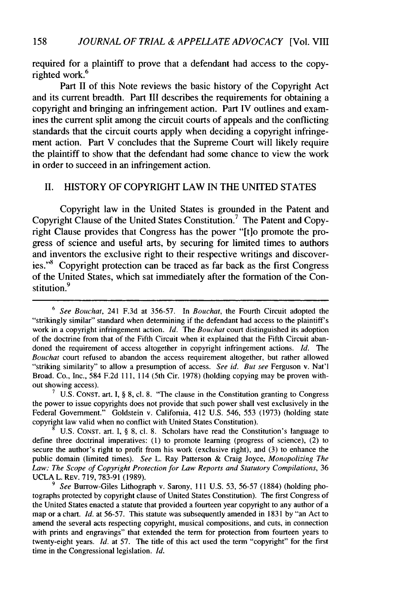required for a plaintiff to prove that a defendant had access to the copyrighted work.<sup>6</sup>

Part II of this Note reviews the basic history of the Copyright Act and its current breadth. Part III describes the requirements for obtaining a copyright and bringing an infringement action. Part IV outlines and examines the current split among the circuit courts of appeals and the conflicting standards that the circuit courts apply when deciding a copyright infringement action. Part V concludes that the Supreme Court will likely require the plaintiff to show that the defendant had some chance to view the work in order to succeed in an infringement action.

#### II. HISTORY OF COPYRIGHT LAW IN THE UNITED STATES

Copyright law in the United States is grounded in the Patent and Copyright Clause of the United States Constitution.<sup>7</sup> The Patent and Copyright Clause provides that Congress has the power "[t]o promote the progress of science and useful arts, by securing for limited times to authors and inventors the exclusive right to their respective writings and discoveries."8 Copyright protection can be traced as far back as the first Congress of the United States, which sat immediately after the formation of the Constitution.<sup>9</sup>

**7** U.S. CONST. art. I, § 8, cl. 8. "The clause in the Constitution granting to Congress the power to issue copyrights does not provide that such power shall vest exclusively in the Federal Government." Goldstein v. California, 412 U.S. 546, 553 (1973) (holding state copyright law valid when no conflict with United States Constitution).

**8** U.S. CONST. art. I, § 8, cl. 8. Scholars have read the Constitution's language to define three doctrinal imperatives: (1) to promote learning (progress of science), (2) to secure the author's right to profit from his work (exclusive right), and (3) to enhance the public domain (limited times). *See* L. Ray Patterson & Craig Joyce, *Monopolizing The Law: The Scope of Copyright Protection for* Law *Reports and Statutory Compilations,* 36 UCLA L. REV. 719, 783-91 (1989).

**9** *See* Burrow-Giles Lithograph v. Sarony, 111 U.S. 53, 56-57 (1884) (holding photographs protected by copyright clause of United States Constitution). The first Congress of the United States enacted a statute that provided a fourteen year copyright to any author of a map or a chart. *Id.* at 56-57. This statute was subsequently amended in 1831 by "an Act to amend the several acts respecting copyright, musical compositions, and cuts, in connection with prints and engravings" that extended the term for protection from fourteen years to twenty-eight years. *Id.* at 57. The title of this act used the term "copyright" for the first time in the Congressional legislation. *Id.*

 $6$  See Bouchat, 241 F.3d at 356-57. In Bouchat, the Fourth Circuit adopted the "strikingly similar" standard when determining if the defendant had access to the plaintiff's work in a copyright infringement action. *Id. The Bouchat* court distinguished its adoption of the doctrine from that of the Fifth Circuit when it explained that the Fifth Circuit abandoned the requirement of access altogether in copyright infringement actions. *Id.* The *Bouchat* court refused to abandon the access requirement altogether, but rather allowed "striking similarity" to allow a presumption of access. *See id. But see* Ferguson v. Nat'l Broad. Co., Inc., 584 F.2d 111, 114 (5th Cir. 1978) (holding copying may be proven without showing access).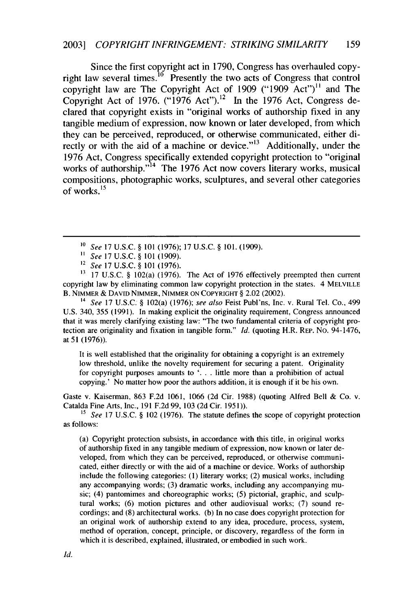Since the first copyright act in 1790, Congress has overhauled copyright law several times.<sup>10</sup> Presently the two acts of Congress that control copyright law are The Copyright Act of 1909 ("1909 Act")" and The Copyright Act of 1976. ("1976 Act").<sup>12</sup> In the 1976 Act, Congress declared that copyright exists in "original works of authorship fixed in any tangible medium of expression, now known or later developed, from which they can be perceived, reproduced, or otherwise communicated, either directly or with the aid of a machine or device."<sup>13</sup> Additionally, under the 1976 Act, Congress specifically extended copyright protection to "original works of authorship. $14$  The 1976 Act now covers literary works, musical compositions, photographic works, sculptures, and several other categories of works. $15$ 

- *" See* 17 U.S.C. § 101 (1909).
- <sup>12</sup>*See* 17 U.S.C. § 101 (1976).

**"3** 17 U.S.C. § 102(a) (1976). The Act of 1976 effectively preempted then current copyright law by eliminating common law copyright protection in the states. 4 MELVILLE B. NIMMER & DAVID NIMMER, NIMMER **ON** COPYRIGHT § 2.02 (2002).

*<sup>14</sup>See* 17 U.S.C. § 102(a) (1976); *see also* Feist Publ'ns, Inc. v. Rural Tel. Co., 499 U.S. 340, 355 (1991). In making explicit the originality requirement, Congress announced that it was merely clarifying existing law: "The two fundamental criteria of copyright protection are originality and fixation in tangible form." *Id.* (quoting H.R. REP. No. 94-1476, at **51** (1976)).

It is well established that the originality for obtaining a copyright is an extremely low threshold, unlike the novelty requirement for securing a patent. Originality for copyright purposes amounts to '. **.** . little more than a prohibition of actual copying.' No matter how poor the authors addition, it is enough if it be his own.

Gaste v. Kaiserman, 863 F.2d 1061, 1066 (2d Cir. 1988) (quoting Alfred Bell & Co. v. Catalda Fine Arts, Inc., 191 F.2d 99, 103 (2d Cir. 1951)).

<sup>15</sup> See 17 U.S.C. § 102 (1976). The statute defines the scope of copyright protection as follows:

(a) Copyright protection subsists, in accordance with this title, in original works of authorship fixed in any tangible medium of expression, now known or later developed, from which they can be perceived, reproduced, or otherwise communicated, either directly or with the aid of a machine or device. Works of authorship include the following categories: (1) literary works; (2) musical works, including any accompanying words; (3) dramatic works, including any accompanying music; (4) pantomimes and choreographic works; (5) pictorial, graphic, and sculptural works; (6) motion pictures and other audiovisual works; (7) sound recordings; and (8) architectural works. (b) In no case does copyright protection for an original work of authorship extend to any idea, procedure, process, system, method of operation, concept, principle, or discovery, regardless of the form in which it is described, explained, illustrated, or embodied in such work.

*<sup>&#</sup>x27;0 See* 17 U.S.C. § 101 (1976); 17 U.S.C. § 101. (1909).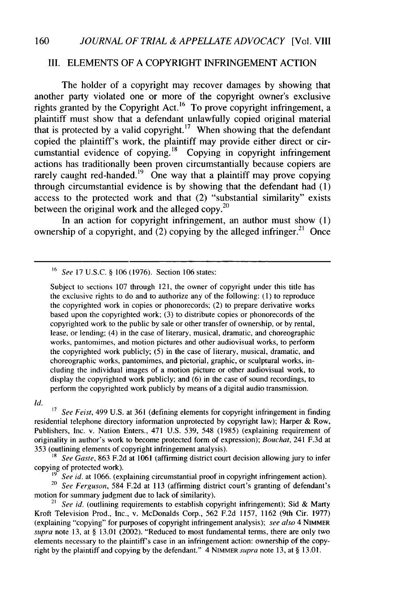## III. ELEMENTS OF A COPYRIGHT INFRINGEMENT ACTION

The holder of a copyright may recover damages by showing that another party violated one or more of the copyright owner's exclusive rights granted by the Copyright Act.<sup>16</sup> To prove copyright infringement, a plaintiff must show that a defendant unlawfully copied original material that is protected by a valid copyright.<sup>17</sup> When showing that the defendant copied the plaintiff's work, the plaintiff may provide either direct or circumstantial evidence of copying.<sup>18</sup> Copying in copyright infringement actions has traditionally been proven circumstantially because copiers are rarely caught red-handed.<sup>19</sup> One way that a plaintiff may prove copying through circumstantial evidence is by showing that the defendant had (1) access to the protected work and that (2) "substantial similarity" exists between the original work and the alleged copy. $20$ 

In an action for copyright infringement, an author must show (1) ownership of a copyright, and (2) copying by the alleged infringer.<sup>21</sup> Once

Subject to sections 107 through 121, the owner of copyright under this title has the exclusive rights to do and to authorize any of the following: (1) to reproduce the copyrighted work in copies or phonorecords; (2) to prepare derivative works based upon the copyrighted work; (3) to distribute copies or phonorecords of the copyrighted work to the public by sale or other transfer of ownership, or by rental, lease, or lending; (4) in the case of literary, musical, dramatic, and choreographic works, pantomimes, and motion pictures and other audiovisual works, to perform the copyrighted work publicly; (5) in the case of literary, musical, dramatic, and choreographic works, pantomimes, and pictorial, graphic, or sculptural works, including the individual images of a motion picture or other audiovisual work, to display the copyrighted work publicly; and (6) in the case of sound recordings, to perform the copyrighted work publicly by means of a digital audio transmission.

*Id.*

**17** *See Feist,* 499 U.S. at 361 (defining elements for copyright infringement in finding residential telephone directory information unprotected by copyright law); Harper & Row, Publishers, Inc. v. Nation Enters., 471 U.S. 539, 548 (1985) (explaining requirement of originality in author's work to become protected form of expression); *Bouchat,* 241 F.3d at 353 (outlining elements of copyright infringement analysis).

18 *See* Gaste, 863 F.2d at 1061 (affirming district court decision allowing jury to infer copying of protected work).

<sup>19</sup> See id. at 1066. (explaining circumstantial proof in copyright infringement action).<br><sup>20</sup> See Ferguson, 584 F.2d at 113 (affirming district court's granting of defendant'

motion for summary judgment due to lack of similarity).

<sup>21</sup> See id. (outlining requirements to establish copyright infringement); Sid & Marty Kroft Television Prod., Inc., v. McDonalds Corp., 562 F.2d 1157, 1162 (9th Cir. 1977) (explaining "copying" for purposes of copyright infringement analysis); *see also* 4 NIMMER supra note 13, at  $\S$  13.01 (2002). "Reduced to most fundamental terms, there are only two elements necessary to the plaintiff's case in an infringement action: ownership of the copyright by the plaintiff and copying by the defendant." 4 NIMMER supra note 13, at § 13.01.

**<sup>&#</sup>x27;6** *See* 17 U.S.C. § 106 (1976). Section 106 states: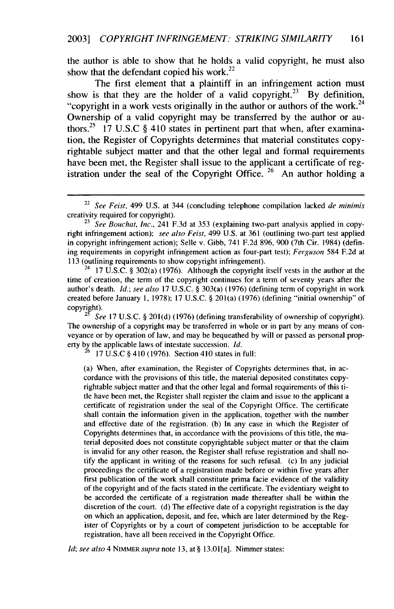the author is able to show that he holds a valid copyright, he must also show that the defendant copied his work. $^{22}$ 

The first element that a plaintiff in an infringement action must show is that they are the holder of a valid copyright.<sup>23</sup> By definition, "copyright in a work vests originally in the author or authors of the work.<sup>24</sup> Ownership of a valid copyright may be transferred by the author or authors.<sup>25</sup> 17 U.S.C § 410 states in pertinent part that when, after examination, the Register of Copyrights determines that material constitutes copyrightable subject matter and that the other legal and formal requirements have been met, the Register shall issue to the applicant a certificate of registration under the seal of the Copyright Office.  $26$  An author holding a

<sup>24</sup> 17 U.S.C. § 302(a) (1976). Although the copyright itself vests in the author at the time of creation, the term of the copyright continues for a term of seventy years after the author's death. *Id.; see also* 17 U.S.C. § 303(a) (1976) (defining term of copyright in work created before January 1, 1978); 17 U.S.C. § 201(a) (1976) (defining "initial ownership" of copyright).

*<sup>25</sup>See* 17 U.S.C. § 201(d) (1976) (defining transferability of ownership of copyright). The ownership of a copyright may be transferred in whole or in part by any means of conveyance or by operation of law, and may be bequeathed by will or passed as personal property by the applicable laws of intestate succession. *Id.*

<sup>26</sup>17 U.S.C § 410 (1976). Section 410 states in full:

(a) When, after examination, the Register of Copyrights determines that, in accordance with the provisions of this title, the material deposited constitutes copyrightable subject matter and that the other legal and formal requirements of this title have been met, the Register shall register the claim and issue to the applicant a certificate of registration under the seal of the Copyright Office. The certificate shall contain the information given in the application, together with the number and effective date of the registration. (b) In any case in which the Register of Copyrights determines that, in accordance with the provisions of this title, the material deposited does not constitute copyrightable subject matter or that the claim is invalid for any other reason, the Register shall refuse registration and shall notify the applicant in writing of the reasons for such refusal. (c) In any judicial proceedings the certificate of a registration made before or within five years after first publication of the work shall constitute prima facie evidence of the validity of the copyright and of the facts stated in the certificate. The evidentiary weight to be accorded the certificate of a registration made thereafter shall be within the discretion of the court. (d) The effective date of a copyright registration is the day on which an application, deposit, and fee, which are later determined by the Register of Copyrights or by a court of competent jurisdiction to be acceptable for registration, have all been received in the Copyright Office.

*Id; see also* 4 NIMMER *supra* note 13, at § 13.01[a]. Nimmer states:

<sup>22</sup>*See Feist,* 499 U.S. at 344 (concluding telephone compilation lacked *de minimis* creativity required for copyright).

<sup>23</sup> *See* Bouchat, *Inc.,* 241 F.3d at 353 (explaining two-part analysis applied in copyright infringement action); *see also Feist,* 499 U.S. at 361 (outlining two-part test applied in copyright infringement action); Selle v. Gibb, 741 F.2d 896, 900 (7th Cir. 1984) (defining requirements in copyright infringement action as four-part test); Ferguson 584 F.2d at 113 (outlining requirements to show copyright infringement).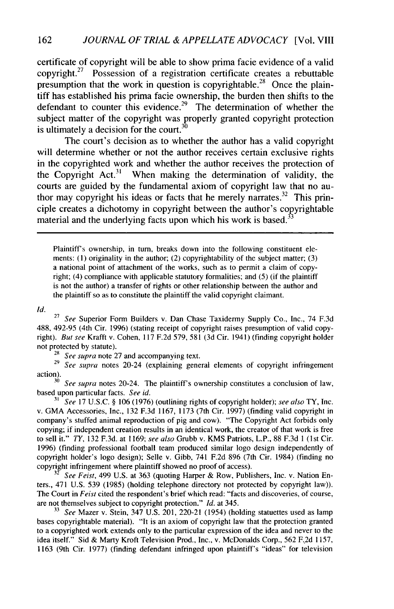certificate of copyright will be able to show prima facie evidence of a valid copyright.<sup>27</sup> Possession of a registration certificate creates a rebuttable presumption that the work in question is copyrightable.<sup>28</sup> Once the plaintiff has established his prima facie ownership, the burden then shifts to the defendant to counter this evidence.<sup>29</sup> The determination of whether the subject matter of the copyright was properly granted copyright protection is ultimately a decision for the court.<sup>30</sup>

The court's decision as to whether the author has a valid copyright will determine whether or not the author receives certain exclusive rights in the copyrighted work and whether the author receives the protection of the Copyright Act.<sup>31</sup> When making the determination of validity, the courts are guided **by** the fundamental axiom of copyright law that no author may copyright his ideas or facts that he merely narrates.<sup>32</sup> This principle creates a dichotomy in copyright between the author's copyrightable material and the underlying facts upon which his work is based.<sup>3</sup>

Plaintiff's ownership, in turn, breaks down into the following constituent elements: **(1)** originality in the author; (2) copyrightability of the subject matter; (3) a national point of attachment of the works, such as to permit a claim of copyright; (4) compliance with applicable statutory formalities; and (5) (if the plaintiff is not the author) a transfer of rights or other relationship between the author and the plaintiff so as to constitute the plaintiff the valid copyright claimant.

*Id.*

27 *See* Superior Form Builders v. Dan Chase Taxidermy Supply Co., Inc., 74 F.3d 488, 492-95 (4th Cir. 1996) (stating receipt of copyright raises presumption of valid copyright). *But see* Krafft v. Cohen, 117 F.2d 579, 581 (3d Cir. 1941) (finding copyright holder not protected by statute).

**28** *See supra* note 27 and accompanying text.

<sup>29</sup> See supra notes 20-24 (explaining general elements of copyright infringement action).

**30** *See* supra notes 20-24. The plaintiff's ownership constitutes a conclusion of law, based upon particular facts. *See id.*

*<sup>31</sup>See* 17 U.S.C. § 106 (1976) (outlining rights of copyright holder); *see also* TY, Inc. v. GMA Accessories, Inc., 132 F.3d 1167, 1173 (7th Cir. 1997) (finding valid copyright in company's stuffed animal reproduction of pig and cow). "The Copyright Act forbids only copying; if independent creation results in an identical work, the creator of that work is free to sell it." *TY,* 132 F.3d. at 1169; *see also* Grubb v. KMS Patriots, L.P., 88 F.3d 1 (1st Cir. 1996) (finding professional football team produced similar logo design independently of copyright holder's logo design); Selle v. Gibb, 741 F.2d 896 (7th Cir. 1984) (finding no copyright infringement where plaintiff showed no proof of access).

32 *See Feist,* 499 U.S. at 363 (quoting Harper & Row, Publishers, Inc. v. Nation Enters., 471 U.S. 539 (1985) (holding telephone directory not protected by copyright law)). The Court in *Feist* cited the respondent's brief which read: "facts and discoveries, of course, are not themselves subject to copyright protection." *Id.* at 345.

**<sup>33</sup>***See* Mazer v. Stein, 347 U.S. 201, 220-21 (1954) (holding statuettes used as lamp bases copyrightable material). "It is an axiom of copyright law that the protection granted to a copyrighted work extends only to the particular expression of the idea and never to the idea itself." Sid & Marty Kroft Television Prod., Inc., v. McDonalds Corp., 562 F.2d 1157, 1163 (9th Cir. 1977) (finding defendant infringed upon plaintiff's "ideas" for television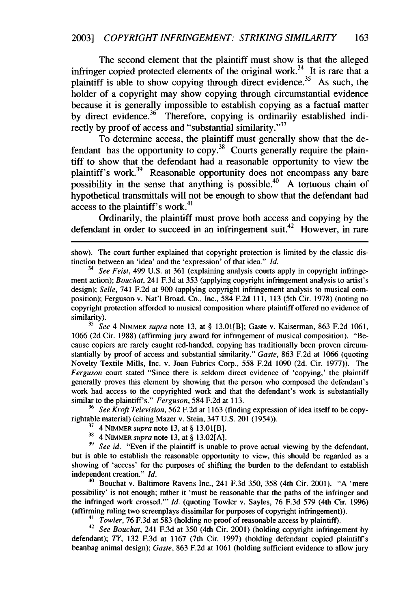The second element that the plaintiff must show is that the alleged infringer copied protected elements of the original work.<sup>34</sup> It is rare that a plaintiff is able to show copying through direct evidence.<sup>35</sup> As such, the holder of a copyright may show copying through circumstantial evidence because it is generally impossible to establish copying as a factual matter by direct evidence.<sup>36</sup> Therefore, copying is ordinarily established indirectly by proof of access and "substantial similarity." $37$ 

To determine access, the plaintiff must generally show that the defendant has the opportunity to copy.<sup>38</sup> Courts generally require the plaintiff to show that the defendant had a reasonable opportunity to view the plaintiff's work.<sup>39</sup> Reasonable opportunity does not encompass any bare possibility in the sense that anything is possible.<sup>40</sup> A tortuous chain of hypothetical transmittals will not be enough to show that the defendant had access to the plaintiff's work.<sup>41</sup>

Ordinarily, the plaintiff must prove both access and copying by the defendant in order to succeed in an infringement suit.<sup>42</sup> However, in rare

*<sup>35</sup>See* 4 NIMMER *supra* note 13, at § 13.0l[B]; Gaste v. Kaiserman, 863 F.2d 1061, 1066 (2d Cir. 1988) (affirming jury award for infringement of musical composition). "Because copiers are rarely caught red-handed, copying has traditionally been proven circumstantially by proof of access and substantial similarity." *Gaste,* 863 F.2d at 1066 (quoting Novelty Textile Mills, Inc. v. Joan Fabrics Corp., 558 F.2d 1090 (2d. Cir. 1977)). The *Ferguson* court stated "Since there is seldom direct evidence of 'copying,' the plaintiff generally proves this element by showing that the person who composed the defendant's work had access to the copyrighted work and that the defendant's work is substantially similar to the plaintiffs." *Ferguson,* 584 F.2d at 113.

36 *See Kroft Television,* 562 F.2d at 1163 (finding expression of idea itself to be copyrightable material) (citing Mazer v. Stein, 347 U.S. 201 (1954)).

**<sup>37</sup>**4 NIMMER *supra* note **13,** at § 13.01[B].

**<sup>38</sup>**4 NIMMER *supra* note 13, at § 13.02[A].

**<sup>39</sup>***See id.* "Even if the plaintiff is unable to prove actual viewing by the defendant, but is able to establish the reasonable opportunity to view, this should be regarded as a showing of 'access' for the purposes of shifting the burden to the defendant to establish independent creation." *Id.*

40 Bouchat v. Baltimore Ravens Inc., 241 F.3d 350, 358 (4th Cir. 2001). "A 'mere possibility' is not enough; rather it 'must be reasonable that the paths of the infringer and the infringed work crossed."' *Id.* (quoting Towler v. Sayles, 76 F.3d 579 (4th Cir. 1996) (affirming ruling two screenplays dissimilar for purposes of copyright infringement)).

*41 Towler,* 76 F.3d at 583 (holding no proof of reasonable access by plaintiff).

<sup>42</sup>*See Bouchat,* 241 F.3d at 350 (4th Cir. 2001) (holding copyright infringement by defendant); *TY,* 132 F.3d at 1167 (7th Cir. 1997) (holding defendant copied plaintiff's beanbag animal design); *Gaste,* 863 F.2d at 1061 (holding sufficient evidence to allow jury

show). The court further explained that copyright protection is limited by the classic distinction between an 'idea' and the 'expression' of that idea." *Id.*

*<sup>34</sup> See Feist,* 499 U.S. at 361 (explaining analysis courts apply in copyright infringement action); *Bouchat*, 241 F.3d at 353 (applying copyright infringement analysis to artist's design); *Selle,* 741 F.2d at 900 (applying copyright infringement analysis to musical composition); Ferguson v. Nat'l Broad. Co., Inc., 584 F.2d 111, 113 (5th Cir. 1978) (noting no copyright protection afforded to musical composition where plaintiff offered no evidence of similarity).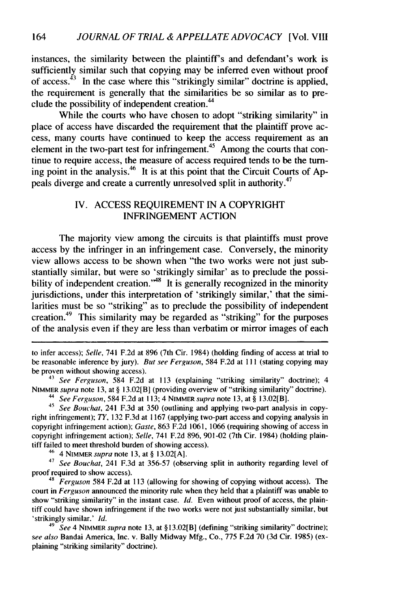instances, the similarity between the plaintiff's and defendant's work is sufficiently similar such that copying may be inferred even without proof of access. $43$  In the case where this "strikingly similar" doctrine is applied, the requirement is generally that the similarities be so similar as to preclude the possibility of independent creation.<sup>44</sup>

While the courts who have chosen to adopt "striking similarity" in place of access have discarded the requirement that the plaintiff prove access, many courts have continued to keep the access requirement as an element in the two-part test for infringement.<sup>45</sup> Among the courts that continue to require access, the measure of access required tends to be the turning point in the analysis.<sup>46</sup> It is at this point that the Circuit Courts of Appeals diverge and create a currently unresolved split in authority.<sup>47</sup>

## IV. **ACCESS REQUIREMENT IN A** COPYRIGHT **INFRINGEMENT ACTION**

The majority view among the circuits is that plaintiffs must prove access **by** the infringer in an infringement case. Conversely, the minority view allows access to be shown when "the two works were not just substantially similar, but were so 'strikingly similar' as to preclude the possibility of independent creation.<sup>148</sup> It is generally recognized in the minority jurisdictions, under this interpretation of 'strikingly similar,' that the similarities must be so "striking" as to preclude the possibility of independent creation.49 This similarity may be regarded as "striking" for the purposes of the analysis even if they are less than verbatim or mirror images of each

to infer access); *Selle,* 741 **F.2d** at **896** (7th Cir. 1984) (holding finding of access at trial to be reasonable inference **by** jury). *But see Ferguson,* 584 **F.2d** at **Il1** (stating copying may be proven without showing access).

**<sup>43</sup>***See Ferguson,* 584 **F.2d** at **113** (explaining "striking similarity" doctrine); 4 NIMMER *supra* note **13,** at **§** 13.02[B] (providing overview of "striking similarity" doctrine).

**44** *See Ferguson,* 584 **F.2d** at **113;** 4 **NIMMER** *supra* note **13,** at **§** 13.02[B].

**45** *See Bouchat,* 241 **F.3d** at **350** (outlining and applying two-part analysis in copyright infringement); **TY, 132 F.3d** at **1167** (applying two-part access and copying analysis in copyright infringement action); *Gaste,* **863 F.2d 1061, 1066** (requiring showing of access in copyright infringement action); *Selle,* 741 **F.2d 896, 901-02** (7th Cir. 1984) (holding plaintiff failed to meet threshold burden of showing access).

**<sup>46</sup>**4 NIMMER supra note **13,** at **§ 13.02[A].**

**<sup>47</sup>***See Bouchat,* 241 **F.3d** at **356-57** (observing split in authority regarding level of proof required to show access).

**<sup>48</sup>***Ferguson* 584 **F.2d** at **113** (allowing for showing of copying without access). **The** court in *Ferguson* announced the minority rule when they held that a plaintiff was unable to show "striking similarity" in the instant case. *Id.* Even without proof of access, the plaintiff could have shown infringement if the two works were not just substantially similar, but 'strikingly similar.' *Id.*

**49** *See* 4 **NIMMER** *supra* note **13,** at **§** 13.02[B] (defining "striking similarity" doctrine); *see also* Bandai America, Inc. v. Bally Midway **Mfg.,** Co., **775 F.2d 70 (3d** Cir. **1985)** (explaining "striking similarity" doctrine).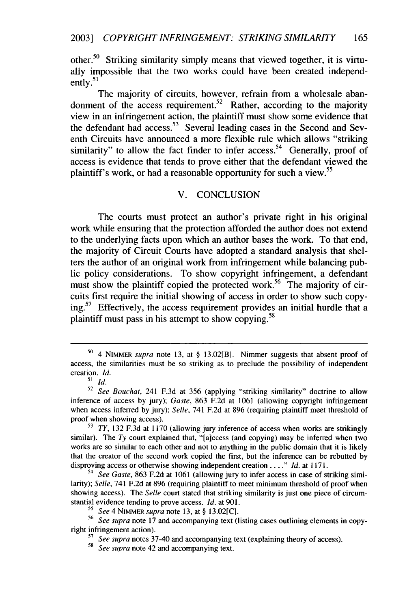other.50 Striking similarity simply means that viewed together, it is virtually impossible that the two works could have been created independ- $\frac{m}{2}$  ently.<sup>51</sup>

The majority of circuits, however, refrain from a wholesale abandonment of the access requirement.<sup>32</sup> Rather, according to the majority view in an infringement action, the plaintiff must show some evidence that the defendant had access.<sup>53</sup> Several leading cases in the Second and Seventh Circuits have announced a more flexible rule which allows "striking similarity" to allow the fact finder to infer access.<sup>54</sup> Generally, proof of access is evidence that tends to prove either that the defendant viewed the plaintiff's work, or had a reasonable opportunity for such a view.<sup>55</sup>

## V. CONCLUSION

The courts must protect an author's private right in his original work while ensuring that the protection afforded the author does not extend to the underlying facts upon which an author bases the work. To that end, the majority of Circuit Courts have adopted a standard analysis that shelters the author of an original work from infringement while balancing public policy considerations. To show copyright infringement, a defendant must show the plaintiff copied the protected work.<sup>56</sup> The majority of circuits first require the initial showing of access in order to show such copying.<sup>57</sup> Effectively, the access requirement provides an initial hurdle that a **<sup>58</sup>** plaintiff must pass in his attempt to show copying.

**<sup>o</sup>**4 NIMMER supra note 13, at § 13.02[B]. Nimmer suggests that absent proof of access, the similarities must be so striking as to preclude the possibility of independent creation. *Id.*

 $\sum_{i=1}^{n} d_i$ 

**<sup>52</sup>** *See Bouchat,* 241 F.3d at 356 (applying "striking similarity" doctrine to allow inference of access by jury); *Gaste,* 863 F.2d at 1061 (allowing copyright infringement when access inferred by jury); *Selle,* 741 F.2d at 896 (requiring plaintiff meet threshold of proof when showing access).

 $73$  *TY*, 132 F.3d at 1170 (allowing jury inference of access when works are strikingly similar). The  $Ty$  court explained that, "[a]ccess (and copying) may be inferred when two works are so similar to each other and not to anything in the public domain that it is likely that the creator of the second work copied the first, but the inference can be rebutted by disproving access or otherwise showing independent creation *. I..." Id.* at 1171.

*<sup>54</sup> See Gaste,* 863 F.2d at 1061 (allowing jury to infer access in case of striking similarity); *Selle,* 741 F.2d at 896 (requiring plaintiff to meet minimum threshold of proof when showing access). The *Selle* court stated that striking similarity is just one piece of circumstantial evidence tending to prove access. *Id.* at 901.

*<sup>55</sup>See* 4 NIMMER *supra* note 13, at § 13.02[C].

<sup>56</sup> *See supra* note 17 and accompanying text (listing cases outlining elements in copyright infringement action).

*<sup>57</sup>See supra* notes 37-40 and accompanying text (explaining theory of access). <sup>58</sup>*See supra* note 42 and accompanying text.